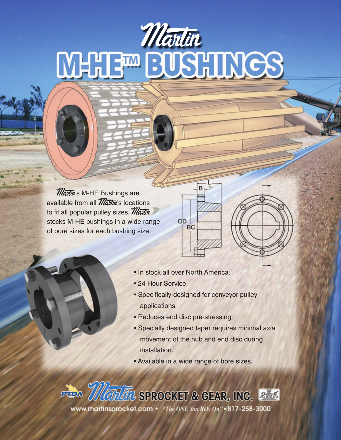### Wartin<br>MHHE<sup>m</sup> EUSHINGS

**Martin's M-HE Bushings are** available from all  $\mathcal{M}$ antin's locations to fit all popular pulley sizes.  $M$ artin stocks M-HE bushings in a wide range of bore sizes for each bushing size.

• In stock all over North America.

OD **BC** 

- 24 Hour Service.
- Specifically designed for conveyor pulley applications.

B

- Reduces end disc pre-stressing.
- Specially designed taper requires minimal axial movement of the hub and end disc during installation.
- Available in a wide range of bore sizes.

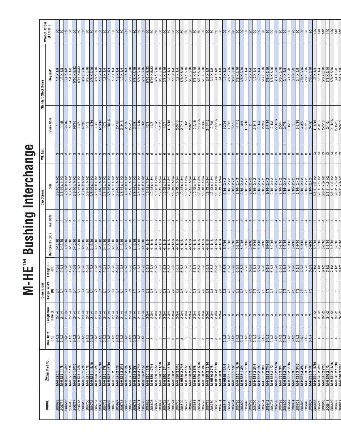|                                                                                                                                                                                                                                                                                                                                                                                              |                                                                                    | 5/16 X 5/32<br>5/16 X 5/32<br>3/8 X 3/16<br>3/8 X 3/16<br>3/8 X 3/16<br>3/8 X 3/16<br>3/8 X 3/16<br>$1/4$ X $1/8$<br>$1/2$ X $1/4$<br>$1/2$ X $1/4$<br>1/4 X 1/8<br>$\frac{1}{4}$ X 1/8<br>$\frac{1}{1}{2} \times 14$<br>$\frac{1}{2} \times 14$<br>$\frac{1}{2} \times 14$<br>$\frac{1}{2} \times 14$<br>$1/2$ X $1/4$<br>1/4 X | 5/8 X 3/16<br>5/8 X 3/16<br>5/8 X 3/16<br>5/9 X 3/16<br>5/16 X 5/32<br>5/16 X 3/16<br>5/16 X 3/16<br>$\begin{array}{r l} \hline 1/2\times 1/4 \\ \hline 1/2\times 1/4 \\ \hline 1/2\times 1/4 \\ \hline 5/8\times 5/16 \\ \hline 5/8\times 5/16 \\ \hline 5/8\times 5/16 \\ \hline 5/8\times 5/16 \\ \hline 5/8\times 5/16 \\ \hline \end{array}$    | 5/8 X 5/16<br>3/4 X 1/8<br>3/4 X 1/8<br>3/4 X 1/8<br>3/4 X 1/2                                                                                                                                                                                                                                                                                                                                                                                                                             | 3/8 X 3/16                                                           | 3/8 X 3/16                                   | $\frac{1}{1}$<br>$\frac{1}{1}$<br>$\frac{1}{1}$<br>$\frac{1}{1}$<br>$\frac{1}{1}$                        | 5/8 X 5/16<br>5/8 X 5/16                     | 5/8 X 5/16<br>5/8 X 5/16 |                      |                                                  |                      | 5 5/18<br>8/18 X 3/18<br>8/18 X 3/18<br>8/18 X 3/18<br>8/18 X 3/16<br>8/18 X 3/16<br>8/18 X 3/16 | 7/8 X 3/16           | $\begin{array}{r l} 1/2 \times 1/4 \\ \hline 1/2 \times 1/4 \\ \hline 5/8 \times 5/16 \\ \hline 5/8 \times 5/16 \\ \hline 5/8 \times 5/16 \\ \hline 3/4 \times 3/8 \\ \hline 3/4 \times 3/8 \\ \hline \end{array}$ |
|----------------------------------------------------------------------------------------------------------------------------------------------------------------------------------------------------------------------------------------------------------------------------------------------------------------------------------------------------------------------------------------------|------------------------------------------------------------------------------------|----------------------------------------------------------------------------------------------------------------------------------------------------------------------------------------------------------------------------------------------------------------------------------------------------------------------------------|------------------------------------------------------------------------------------------------------------------------------------------------------------------------------------------------------------------------------------------------------------------------------------------------------------------------------------------------------|--------------------------------------------------------------------------------------------------------------------------------------------------------------------------------------------------------------------------------------------------------------------------------------------------------------------------------------------------------------------------------------------------------------------------------------------------------------------------------------------|----------------------------------------------------------------------|----------------------------------------------|----------------------------------------------------------------------------------------------------------|----------------------------------------------|--------------------------|----------------------|--------------------------------------------------|----------------------|--------------------------------------------------------------------------------------------------|----------------------|--------------------------------------------------------------------------------------------------------------------------------------------------------------------------------------------------------------------|
| $1-11/16$<br>$1 - 15/16$<br>$1 - 13/16$<br>$\frac{8.5716}{2.5716}$<br>$\frac{14}{2.388}$<br>$\frac{14}{2.388}$<br>$2 - 3/16$<br>$1 - 7/16$<br>$\frac{1-3/16}{1-5/16}$<br>$1-1/8$<br>$1-1/2$<br>$1 - 3/8$<br>$2 - 1/8$<br>$1-3/4$<br>$1 - 1/2$<br>$-7/8$                                                                                                                                      | $1-11/16$<br>$1 - 15/16$<br>$1-3/4$                                                | $2 - 9/16$<br>$\frac{2.3/16}{2.7/16}$<br>2.1/2<br>2.9/16                                                                                                                                                                                                                                                                         | $2 - 11/16$<br>$\frac{2-3/4}{2-13/16}$                                                                                                                                                                                                                                                                                                               | $\frac{2-7/8}{2-15/16}$<br>$\frac{3}{1.3/16}$                                                                                                                                                                                                                                                                                                                                                                                                                                              | $1-7/16$<br>$1-1/2$                                                  | $\frac{1-11/16}{1-3/4}$<br>$1 - 15/16$       |                                                                                                          | $\frac{2-3/16}{2-3/8}$<br>$\frac{2-1}{2}$    | $2 - 11/16$              |                      | $\frac{2-3/4}{2-7/8}$                            |                      | $\frac{3-3/16}{3-3/8}$<br>$3 - 7/16$                                                             |                      | $\frac{3.1/2}{1.15/16}$<br>$\frac{3.3}{2.3/16}$                                                                                                                                                                    |
|                                                                                                                                                                                                                                                                                                                                                                                              |                                                                                    |                                                                                                                                                                                                                                                                                                                                  |                                                                                                                                                                                                                                                                                                                                                      |                                                                                                                                                                                                                                                                                                                                                                                                                                                                                            |                                                                      |                                              |                                                                                                          |                                              |                          |                      |                                                  |                      |                                                                                                  |                      |                                                                                                                                                                                                                    |
|                                                                                                                                                                                                                                                                                                                                                                                              |                                                                                    |                                                                                                                                                                                                                                                                                                                                  |                                                                                                                                                                                                                                                                                                                                                      |                                                                                                                                                                                                                                                                                                                                                                                                                                                                                            |                                                                      |                                              |                                                                                                          |                                              |                          |                      |                                                  |                      |                                                                                                  |                      |                                                                                                                                                                                                                    |
|                                                                                                                                                                                                                                                                                                                                                                                              |                                                                                    |                                                                                                                                                                                                                                                                                                                                  |                                                                                                                                                                                                                                                                                                                                                      |                                                                                                                                                                                                                                                                                                                                                                                                                                                                                            |                                                                      |                                              |                                                                                                          |                                              |                          |                      |                                                  |                      |                                                                                                  |                      |                                                                                                                                                                                                                    |
|                                                                                                                                                                                                                                                                                                                                                                                              |                                                                                    |                                                                                                                                                                                                                                                                                                                                  |                                                                                                                                                                                                                                                                                                                                                      |                                                                                                                                                                                                                                                                                                                                                                                                                                                                                            |                                                                      |                                              |                                                                                                          |                                              |                          |                      |                                                  |                      |                                                                                                  |                      |                                                                                                                                                                                                                    |
|                                                                                                                                                                                                                                                                                                                                                                                              |                                                                                    |                                                                                                                                                                                                                                                                                                                                  |                                                                                                                                                                                                                                                                                                                                                      |                                                                                                                                                                                                                                                                                                                                                                                                                                                                                            |                                                                      |                                              |                                                                                                          |                                              |                          |                      |                                                  |                      |                                                                                                  |                      |                                                                                                                                                                                                                    |
|                                                                                                                                                                                                                                                                                                                                                                                              |                                                                                    |                                                                                                                                                                                                                                                                                                                                  |                                                                                                                                                                                                                                                                                                                                                      |                                                                                                                                                                                                                                                                                                                                                                                                                                                                                            | $^{\circ}$                                                           |                                              |                                                                                                          |                                              |                          |                      |                                                  |                      |                                                                                                  |                      |                                                                                                                                                                                                                    |
|                                                                                                                                                                                                                                                                                                                                                                                              |                                                                                    |                                                                                                                                                                                                                                                                                                                                  |                                                                                                                                                                                                                                                                                                                                                      |                                                                                                                                                                                                                                                                                                                                                                                                                                                                                            |                                                                      |                                              |                                                                                                          |                                              |                          |                      |                                                  |                      |                                                                                                  |                      |                                                                                                                                                                                                                    |
|                                                                                                                                                                                                                                                                                                                                                                                              |                                                                                    |                                                                                                                                                                                                                                                                                                                                  |                                                                                                                                                                                                                                                                                                                                                      |                                                                                                                                                                                                                                                                                                                                                                                                                                                                                            |                                                                      |                                              |                                                                                                          |                                              |                          |                      |                                                  |                      |                                                                                                  |                      |                                                                                                                                                                                                                    |
| $3/8 - 16 \times 1 - 1/2$                                                                                                                                                                                                                                                                                                                                                                    |                                                                                    |                                                                                                                                                                                                                                                                                                                                  |                                                                                                                                                                                                                                                                                                                                                      |                                                                                                                                                                                                                                                                                                                                                                                                                                                                                            |                                                                      |                                              |                                                                                                          |                                              |                          |                      |                                                  |                      |                                                                                                  |                      |                                                                                                                                                                                                                    |
| $3/8 - 16 \times 1 - 1/2$<br>3/8-16 x 1-1/2<br>3/8-16 x 1-1/2<br>3/8-16 x 1-1/2<br>3/8-16 x 1-1/2<br>$3/8 - 16 \times 1 - 1/2$<br>$3/8 - 16 \times 1 - 1/2$<br>$3/8 - 16 \times 1 - 1/2$<br>$1/2 - 13 \times 1 - 3/4$                                                                                                                                                                        | $1/2 - 13 \times 1 - 3/4$<br>$1/2 - 13 \times 1 - 3/4$<br>$1/2 - 13 \times 1 - 3/$ | $1/2 - 13 \times 1 - 3/4$<br>$\frac{1/2 \cdot 13 \times 1 \cdot 3/4}{1/2 \cdot 13 \times 1 \cdot 3/4}$<br>$\frac{1/2 \cdot 13 \times 1 \cdot 3/4}{1/2 \cdot 13 \times 1 \cdot 3/4}$<br>$1/2 - 13 \times 1 - 3/$                                                                                                                  | $1/2 - 13 \times 1 - 3/4$                                                                                                                                                                                                                                                                                                                            |                                                                                                                                                                                                                                                                                                                                                                                                                                                                                            | $9/16 - 12 \times 2$<br>$9/16 - 12 \times 2$<br>$9/16 - 12 \times 2$ | $9/16 - 12 \times 2$<br>$9/16 - 12 \times 2$ | $9/16 - 12 \times 2$<br>9/16-12 x 2<br>9/16-12 x 2<br>9/16-12 x 2                                        | $9/16 - 12 \times 2$<br>$9/16 - 12 \times 2$ | $9/16 - 12 \times 2$     | $9/16 - 12 \times 2$ | $\frac{9/16-12 \times 2}{9/16-12 \times 2}$      | $9/16 - 12 \times 2$ | $9/16 - 12 \times 2$<br>$9/16 - 12 \times 2$                                                     | $9/16 - 12 \times 2$ |                                                                                                                                                                                                                    |
| $\frac{38-16 \times 1-1/2}{3/8-16 \times 1-1/2}$<br>$\frac{1/2-13 \times 1-3/4}{1/2-13 \times 1-3/4}$                                                                                                                                                                                                                                                                                        |                                                                                    |                                                                                                                                                                                                                                                                                                                                  |                                                                                                                                                                                                                                                                                                                                                      | $\begin{array}{c} \n 1/2 \text{-} 13 \times 1 \text{-} 3/4 \\  \hline\n 1/2 \text{-} 13 \times 1 \text{-} 3/4 \\  \hline\n 1/2 \text{-} 13 \times 1 \text{-} 3/4 \\  \hline\n 1/2 \text{-} 13 \times 1 \text{-} 3/4 \\  \hline\n 1/2 \text{-} 13 \times 1 \text{-} 3/4 \\  \hline\n 9/16 \text{-} 12 \times 2\n \end{array}$                                                                                                                                                               |                                                                      |                                              |                                                                                                          |                                              |                          |                      |                                                  |                      |                                                                                                  |                      | 5/8-11 x 2-1/2<br>5/8-11 x 2-1/2<br>5/8-11 x 2-1/2<br>5/8-11 x 2-1/2<br>5/8-11 x 2-1/2                                                                                                                             |
|                                                                                                                                                                                                                                                                                                                                                                                              |                                                                                    |                                                                                                                                                                                                                                                                                                                                  |                                                                                                                                                                                                                                                                                                                                                      |                                                                                                                                                                                                                                                                                                                                                                                                                                                                                            |                                                                      |                                              |                                                                                                          |                                              |                          |                      |                                                  |                      |                                                                                                  |                      |                                                                                                                                                                                                                    |
| $3 - 15/16$<br>$3 - 15/16$                                                                                                                                                                                                                                                                                                                                                                   |                                                                                    |                                                                                                                                                                                                                                                                                                                                  |                                                                                                                                                                                                                                                                                                                                                      |                                                                                                                                                                                                                                                                                                                                                                                                                                                                                            |                                                                      |                                              |                                                                                                          |                                              |                          |                      |                                                  |                      |                                                                                                  |                      |                                                                                                                                                                                                                    |
| 3-15/16<br>3-15/16<br>3-15/16<br>$4 - 11/16$<br>$4 - 11/16$<br>$4 - 11/16$                                                                                                                                                                                                                                                                                                                   | $4 - 11/16$<br>$4 - 11/16$<br>$4 - 11/16$<br>$4 - 11/16$<br>$4 - 11/16$            | $4 - 11/16$<br>$4 - 11/16$<br>$4 - 11/16$<br>$4 - 11/16$                                                                                                                                                                                                                                                                         | $4 - 11/16$<br>$4 - 11/16$<br>$4 - 11/16$                                                                                                                                                                                                                                                                                                            | $\frac{4.11/16}{4.11/16}$<br>$\frac{4.11/16}{5.9/16}$                                                                                                                                                                                                                                                                                                                                                                                                                                      | $5 - 9/16$<br>$5 - 9/16$<br>$5 - 9/16$                               | $5 - 9/16$<br>$5 - 9/16$<br>$5 - 9/16$       | $5 - 9/16$<br>5-9/16                                                                                     | $5 - 9/16$<br>$5 - 9/16$                     |                          |                      |                                                  |                      |                                                                                                  |                      |                                                                                                                                                                                                                    |
|                                                                                                                                                                                                                                                                                                                                                                                              |                                                                                    |                                                                                                                                                                                                                                                                                                                                  |                                                                                                                                                                                                                                                                                                                                                      |                                                                                                                                                                                                                                                                                                                                                                                                                                                                                            |                                                                      |                                              |                                                                                                          |                                              | 5-9/16                   |                      | 0116-916-9<br>0116-916-91<br>01-91-91            | $5 - 9/16$           | $5 - 9/16$<br>$5 - 9/16$                                                                         | $5 - 9/16$           | $6 - 5/16$<br>$6 - 5/16$<br>$6 - 5/16$                                                                                                                                                                             |
| $\frac{9}{3} \frac{9}{4} \frac{9}{4} \frac{9}{4} \frac{9}{4} \frac{9}{4} \frac{9}{4} \frac{9}{4} \frac{9}{4} \frac{9}{4} \frac{9}{4} \frac{9}{4} \frac{9}{4} \frac{9}{4} \frac{9}{4} \frac{6}{4} \frac{6}{4} \frac{6}{4} \frac{6}{4} \frac{6}{4} \frac{6}{4} \frac{1}{6} \frac{1}{6} \frac{1}{6} \frac{1}{6} \frac{1}{6} \frac{1}{6} \frac{1}{6} \frac{1}{6} \frac{1}{6} \frac{1}{6} \frac{$ | 7/8<br>7/8<br>7/8                                                                  | $\frac{1}{8}$<br>7/8<br>$\frac{8}{1}$                                                                                                                                                                                                                                                                                            |                                                                                                                                                                                                                                                                                                                                                      |                                                                                                                                                                                                                                                                                                                                                                                                                                                                                            |                                                                      |                                              |                                                                                                          |                                              |                          |                      |                                                  |                      |                                                                                                  |                      |                                                                                                                                                                                                                    |
|                                                                                                                                                                                                                                                                                                                                                                                              |                                                                                    |                                                                                                                                                                                                                                                                                                                                  |                                                                                                                                                                                                                                                                                                                                                      |                                                                                                                                                                                                                                                                                                                                                                                                                                                                                            |                                                                      |                                              |                                                                                                          |                                              |                          |                      |                                                  |                      |                                                                                                  |                      |                                                                                                                                                                                                                    |
|                                                                                                                                                                                                                                                                                                                                                                                              |                                                                                    |                                                                                                                                                                                                                                                                                                                                  |                                                                                                                                                                                                                                                                                                                                                      | 7/8<br>$\frac{7}{8}$<br>7/8<br>$\frac{8}{25}$                                                                                                                                                                                                                                                                                                                                                                                                                                              |                                                                      |                                              | $\frac{1}{8}$ $\frac{1}{8}$ $\frac{1}{8}$ $\frac{1}{8}$ $\frac{1}{8}$ $\frac{1}{8}$ $\frac{1}{8}$<br>7/8 | $\frac{7}{8}$<br>7/8                         | $\sqrt{8}$               | 7/8                  |                                                  |                      | $\frac{8}{28}$<br>7/8                                                                            | 7/8                  |                                                                                                                                                                                                                    |
|                                                                                                                                                                                                                                                                                                                                                                                              | $  \omega   \omega   \omega  $<br>က<br>$\infty$                                    | ω<br>w                                                                                                                                                                                                                                                                                                                           | $\frac{1}{2} \sum_{i=1}^{n} \sum_{j=1}^{n} \sum_{j=1}^{n} \sum_{j=1}^{n} \sum_{j=1}^{n} \sum_{j=1}^{n} \sum_{j=1}^{n} \sum_{j=1}^{n} \sum_{j=1}^{n} \sum_{j=1}^{n} \sum_{j=1}^{n} \sum_{j=1}^{n} \sum_{j=1}^{n} \sum_{j=1}^{n} \sum_{j=1}^{n} \sum_{j=1}^{n} \sum_{j=1}^{n} \sum_{j=1}^{n} \sum_{j=1}^{n} \sum_{j=1}^{n} \sum_{j=1}^{n} \sum_{$<br>က | $\frac{1}{3} \left  \frac{1}{2} \right  \frac{1}{4} \left  \frac{1}{4} \right  \frac{1}{4} \left  \frac{1}{4} \right  \left  \frac{1}{4} \right  \left  \frac{1}{4} \right  \left  \frac{1}{4} \right  \left  \frac{1}{4} \right  \left  \frac{1}{4} \right  \left  \frac{1}{4} \right  \left  \frac{1}{4} \right  \left  \frac{1}{4} \right  \left  \frac{1}{4} \right  \left  \frac{1}{4} \right  \left  \frac{1}{4} \right  \left  \frac{1}{4} \right  \left  \$<br>ო $ $ ო $ $ ო $ $ ო | က $\sim$                                                             | က ကြ<br>က ကြ                                 | S                                                                                                        | S<br>ω                                       | က                        |                      |                                                  |                      | ကတြကြကြကြ                                                                                        | ო                    | $\frac{1}{2}$<br>4<br>4 4                                                                                                                                                                                          |
|                                                                                                                                                                                                                                                                                                                                                                                              |                                                                                    |                                                                                                                                                                                                                                                                                                                                  |                                                                                                                                                                                                                                                                                                                                                      | $3 - 1/2$                                                                                                                                                                                                                                                                                                                                                                                                                                                                                  | $rac{3-1/2}{3-1/2}$                                                  |                                              | $\frac{1}{2}$<br>$3 - 1/2$                                                                               | $3 - 1/2$<br>$\frac{3-1}{2}$                 | $3 - 1/2$                |                      | $\frac{272}{372}$<br>$\frac{272}{372}$           | $3 - 1/2$            | $3 - 1/2$<br>$3 - 1/2$                                                                           | $\frac{3-1}{2}$      |                                                                                                                                                                                                                    |
| M-HE30 1 11/16<br>M-HE30 13/4                                                                                                                                                                                                                                                                                                                                                                | M-HE30 115/16<br>M-HE30 2 3/16<br><b>M-HE302</b>                                   | M-HE30 2 7/16<br>M-HE30 2 1/2<br>M-HE30 2 9/16<br>M-HE30 25/8                                                                                                                                                                                                                                                                    | M-HE30 2 3/4<br>M-HE30 2 13/16<br>M-HE30 2 11/16                                                                                                                                                                                                                                                                                                     | M-HE30 2 7/8<br>M-HE30 2 15/16<br>M-HE30 3<br>M-HE35 1 3/16                                                                                                                                                                                                                                                                                                                                                                                                                                | M-HE35 1 11/16<br>M-HE35 17/16<br>M-HE35 1 1/2                       | M-HE35 1 15/16<br>M-HE35 1 3/4               | M-HE35 2<br>M-HE35 2 3/16<br>M-HE35 2 1/4<br>M-HE35 2 3/8                                                | M-HE35 27/16<br>M-HE35 2 1/2                 | M-HE35 2 11/16           | <b>M-HE35 2 3/4</b>  | M-HE35 2 7/8<br>M-HE35 2 15/16<br><b>M-HE353</b> | M-HE35 3 3/16        | M-HE35 3 3/8<br>M-HE35 3 7/16                                                                    | M-HE35 3 1/2         | M-HE40 1 15/16<br>M-HE40 2 3/16<br>M-HE40 2 7/16                                                                                                                                                                   |

# M-HE<sup>TM</sup> Bushing Interchange **M-HE**™ **Bushing Interchange**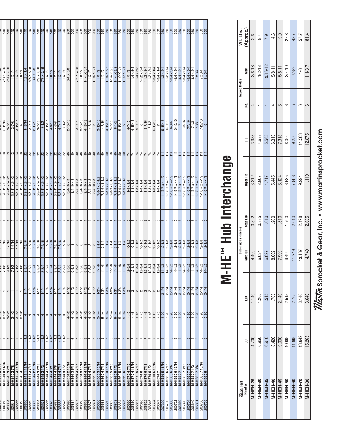| $\frac{8}{3}$<br><b>A ALBERTA A LA HA A A 17A</b><br>֦֧֦֧֦֧֦֧֦֧֦֧֦֧֦֧֦֧֦֧֦֧֦֧֦֧֦֧֦֧֦֧֦֚֚֚֚֞֕֓ |
|-----------------------------------------------------------------------------------------------|
|                                                                                               |
|                                                                                               |
| <b>VAL 15004+</b><br>・ラレト<br>٦                                                                |
| $\overline{\phantom{0}}$                                                                      |
| י היה היה היה ה                                                                               |
|                                                                                               |
|                                                                                               |
|                                                                                               |
|                                                                                               |

| <i>Maala</i> r Part<br>Number |   |       | Dimensions - Inches |          |           |        |   | <b>Tapped Holes</b> |                       |
|-------------------------------|---|-------|---------------------|----------|-----------|--------|---|---------------------|-----------------------|
|                               | 8 | Ë     | Step OD             | Step LTB | Taper Fit | ن<br>ه | ġ | Size                | Wt. Lbs.<br>(Approx.) |
| 4.700<br><b>M-HEH-25</b>      |   | 1.140 | 4.499               | 0.822    | 3.312     | 3.938  |   | $3/8 - 16$          | 2.6                   |
| 6.950<br>M-HEH-30             |   | 1.265 | 6.624               | 0.885    | 3.907     | 4.688  |   | $1/2 - 13$          | 8.4                   |
| 6.910<br><b>M-HEH-35</b>      |   | 1.515 | 6.627               | 1.010    | 4.717     | 5.563  |   | $9/16 - 12$         | <b>e</b>              |
| 8.420<br><b>M-HEH-40</b>      |   | 1.765 | 8.002               | 1.260    | 5.445     | 6.313  |   | $5/8 - 11$          | 14.6                  |
| 9.000<br>M-HEH-45             |   | 2.140 | 7.999               | 1.510    | 6.124     | 7.313  |   | $5/8 - 11$          | 19.0                  |
| 10.000<br>M-HEH-50            |   | 2.515 | 9.499               | 1.790    | 6.685     | 8.000  | ဖ | $3/4 - 10$          | 27.8                  |
| 11.906<br><b>M-HEH-60</b>     |   | 2.765 | 11.249              | 2.010    | 7.808     | 9.250  |   | $7/8-9$             | 43.7                  |
| 13.642<br>M-HEH-70            |   | 3.140 | 13.187              | 2.198    | 9.994     | 11.563 |   | $\frac{8}{1}$       | 57.7                  |
| 15.265<br><b>M-HEH-80</b>     |   | 3.640 | 14.749              | 2.635    | 11.119    | 12.875 | 6 | $1 - 1/8 - 7$       | 81.4                  |

## **M-HE** ™ **Hub Interchange**

| $3 - 1/2$<br>4<br>M-HE40 3 11/16                                                                                                                                                                                                                                                                                                                                                                                                                                           |  |  |                                         | $6 - 5/16$<br>ט זיט ט                                 |         | 5/8-11 x 2-1/2<br>711 7 7 11 0.17                   | 리의 이 이 이        | $3 - 11/16$<br>ם וט ט           | 7/8 X 7/16                                  | <u>   음 음 음</u>   |
|----------------------------------------------------------------------------------------------------------------------------------------------------------------------------------------------------------------------------------------------------------------------------------------------------------------------------------------------------------------------------------------------------------------------------------------------------------------------------|--|--|-----------------------------------------|-------------------------------------------------------|---------|-----------------------------------------------------|-----------------|---------------------------------|---------------------------------------------|-------------------|
| $3 - 1/2$<br>$3 - 1/2$<br>4<br>4<br>M-HE40 37/16<br>M-HE40 37/8                                                                                                                                                                                                                                                                                                                                                                                                            |  |  |                                         | $6 - 5/16$<br>$6 - 5/16$                              | 4       | 5/8-11 x 2-1/2<br>5/8-11 x 2-1/2                    |                 | $3 - 7/16$<br>$3 - 7/8$         | 7/8 X 7/16<br>1 X 1/4                       |                   |
| $3 - 1/2$<br>4<br>M-HE40 3 15/16                                                                                                                                                                                                                                                                                                                                                                                                                                           |  |  |                                         | $6 - 5/16$                                            |         | 5/8-11 x 2-1/2                                      |                 | $3 - 15/16$                     | $1 \times 1/4$                              |                   |
| $3 - 1/2$<br>4<br>M-HE40 4                                                                                                                                                                                                                                                                                                                                                                                                                                                 |  |  |                                         | $6 - 5/16$                                            |         | 5/8-11 x 2-1/2                                      | ုက္             | 4                               | $1 \times 1/4$                              |                   |
| $1-1/4$<br>4<br>$4 - 1/2$<br>M-HE45 1 15/16                                                                                                                                                                                                                                                                                                                                                                                                                                |  |  |                                         | $7-5/16$                                              |         | 5/8-11 x 2-1/2                                      |                 | $1 - 15/16$                     | $1/2$ X $1/4$                               | 침송                |
| $1 - 1/4$<br>$\overline{4}$<br>$4 - 1/2$<br>M-HE45 27/16                                                                                                                                                                                                                                                                                                                                                                                                                   |  |  |                                         | $7-5/16$                                              |         | 5/8-11 x 2-1/2                                      |                 | $2 - 7/16$                      | 5/8 X 5/16                                  | $\frac{140}{5}$   |
| $1-1/4$<br>4<br>$4 - 1/2$<br>M-HE45 2 15/16                                                                                                                                                                                                                                                                                                                                                                                                                                |  |  |                                         | $7-5/16$                                              | 4       | 5/8-11 x 2-1/2                                      |                 | $2 - 15/16$                     | 3/4 X 3/8                                   | $\frac{140}{5}$   |
| $1-1/4$<br>$1-1/4$<br>4<br>$\left  + \right $<br>$4 - 1/2$<br>$4 - 1/2$<br>M-HE45 37/16<br><b>M-HE45 31/2</b>                                                                                                                                                                                                                                                                                                                                                              |  |  |                                         |                                                       |         | 5/8-11 x 2-1/2<br>5/8-11 x 2-1/2                    |                 | $\frac{3-7/16}{ }$<br>$3 - 1/2$ | 7/8 X 7/16                                  |                   |
| $1-1/4$<br>M-HE45 3 15/16                                                                                                                                                                                                                                                                                                                                                                                                                                                  |  |  |                                         |                                                       |         |                                                     |                 |                                 |                                             |                   |
| $1-1/4$<br>44<br>$\frac{4-1/2}{4-1/2}$<br>M-HE45 4 3/16                                                                                                                                                                                                                                                                                                                                                                                                                    |  |  |                                         | 7-5/16<br>7-5/16<br>7-5/16<br>7-5/16<br>7-5/16        |         | 5/8-11 x 2-1/2<br>5/8-11 x 2-1/2                    |                 | $\frac{3-15/16}{4-3/16}$        | $\frac{1 \times 1/2}{1 \times 1/4}$         | <u> 동물동물동물 중</u>  |
| $1-1/4$<br>4<br>$4 - 1/2$<br>M-HE45 4 3/8                                                                                                                                                                                                                                                                                                                                                                                                                                  |  |  |                                         |                                                       |         | 5/8-11 x 2-1/2                                      |                 | $4 - 3/8$                       | $\frac{1}{1}$ X $\frac{1}{4}$               |                   |
| $1 - 1/4$<br>$\overline{\phantom{a}}$<br>$4 - 1/2$<br><b>M-HE45 47/16</b>                                                                                                                                                                                                                                                                                                                                                                                                  |  |  |                                         |                                                       | 4       | 5/8-11 x 2-1/2                                      |                 | $4 - 7/16$                      | 1 X 1/4                                     |                   |
| $1 - 1/4$<br>4<br>$4 - 1/2$<br>M-HE45 4 1/2                                                                                                                                                                                                                                                                                                                                                                                                                                |  |  |                                         |                                                       |         | 5/8-11 x 2-1/2                                      |                 | $4 - 1/2$                       | $1 \times 1/4$                              |                   |
| $1 - 1/2$<br>$4 - 1/2$<br>M-HE50 2 15/16                                                                                                                                                                                                                                                                                                                                                                                                                                   |  |  |                                         |                                                       |         | $3/4 - 10 \times 3$                                 |                 | $2 - 15/16$                     | 3/4 X 3/8                                   |                   |
| $1-1/2$<br>$4 - 1/2$<br>ம ம<br>M-HE50 35/16                                                                                                                                                                                                                                                                                                                                                                                                                                |  |  |                                         |                                                       |         | $\frac{3}{4}$ -10 x 3                               |                 |                                 |                                             | 200               |
| $1 - 1/2$<br>$4 - 1/2$<br>5<br>M-HE50 37/16                                                                                                                                                                                                                                                                                                                                                                                                                                |  |  |                                         |                                                       |         | $3/4 - 10 \times 3$                                 |                 | $3 - 7/16$                      | 7/8 X 7/16                                  | 200               |
| $1 - 1/2$<br>$4 - 1/2$<br>Б<br>M-HE50 3 15/16                                                                                                                                                                                                                                                                                                                                                                                                                              |  |  |                                         | $\infty$ $\infty$ $\infty$ $\infty$ $\infty$ $\infty$ |         | $3/4 - 10 \times 3$                                 |                 | $\frac{3-15/16}{4-15/16}$       | 1 X 1/2                                     |                   |
| $1-1/2$<br>$4 - 1/2$<br>Б<br>M-HE50 4 15/16                                                                                                                                                                                                                                                                                                                                                                                                                                |  |  |                                         |                                                       |         | $3/4 - 10 \times 3$                                 |                 |                                 | $1-1/4$ X $1/4$                             |                   |
| $1 - 1/2$<br>$4 - 1/2$<br>Ю<br>M-HE50 47/16                                                                                                                                                                                                                                                                                                                                                                                                                                |  |  |                                         |                                                       |         | $3/4 - 10 \times 3$                                 |                 | $4 - 7/16$                      | 1 X 1/2                                     |                   |
| $1-1/2$<br>$4 - 1/2$<br>5<br>M-HE50 5                                                                                                                                                                                                                                                                                                                                                                                                                                      |  |  |                                         |                                                       |         | $3/4 - 10 \times 3$                                 |                 | ∣ഗ                              | $1-1/4$ X $1/4$                             |                   |
| $1-3/4$<br>$5 - 1/4$<br>ဖ<br>M-HE60 3 15/16                                                                                                                                                                                                                                                                                                                                                                                                                                |  |  |                                         | $9 - 1/4$                                             |         | $7/8 - 9 \times 3 - 1/2$                            |                 | $\frac{3-15/16}{4-7/16}$        | $1 \times 1/2$                              |                   |
| $1-3/4$<br>$5 - 1/4$<br>G<br>M-HE60 47/16                                                                                                                                                                                                                                                                                                                                                                                                                                  |  |  |                                         | $9 - 1/4$                                             |         | $7/8 - 9 \times 3 - 1/2$                            |                 |                                 | $1 \times 1/2$                              |                   |
| $1-3/4$<br>$1 - 3/4$<br>$5 - 1/4$<br>$5 - 1/4$<br>ဖ<br>ဖ<br>M-HE60 4 15/16<br>M-HE60 57/16                                                                                                                                                                                                                                                                                                                                                                                 |  |  |                                         | $9 - 1/4$<br>$9 - 1/4$                                |         | $\frac{7}{8} - 9 \times 3 - 1/2$<br>7/8-9 x 3-1/2   |                 | $4 - 15/16$<br>$5 - 7/16$       | $1-1/4$ X 5/8                               |                   |
| $1-3/4$<br>$5 - 1/4$<br>6<br>M-HE60 5 1/2                                                                                                                                                                                                                                                                                                                                                                                                                                  |  |  |                                         | $9-1/4$                                               |         | 7/8-9 x 3-1/2                                       |                 |                                 |                                             |                   |
| $5 - 1/4$<br>6<br>M-HE60 5 15/16                                                                                                                                                                                                                                                                                                                                                                                                                                           |  |  | $\frac{11-1/8}{11-1/8}$                 | $\frac{9-1}{4}$                                       |         | $7/8 - 9 \times 3 - 1/2$                            |                 | $rac{5-1/2}{5-15/16}$           | $\frac{1-1/4 \times 5/8}{1-1/4 \times 5/8}$ |                   |
| $5 - 1/4$<br>ဖ<br>M-HE606                                                                                                                                                                                                                                                                                                                                                                                                                                                  |  |  |                                         | $9-1/4$                                               |         | 7/8-9 x 3-1/2                                       |                 | $\circ$                         | $1-1/2$ $\times$ $1/4$                      |                   |
| $\begin{array}{ c c c c c }\hline \frac{1}{\sqrt{2}} & \frac{1}{\sqrt{2}} & \frac{1}{\sqrt{2}} & \frac{1}{\sqrt{2}} & \frac{1}{\sqrt{2}} & \frac{1}{\sqrt{2}} & \frac{1}{\sqrt{2}} & \frac{1}{\sqrt{2}} & \frac{1}{\sqrt{2}} & \frac{1}{\sqrt{2}} & \frac{1}{\sqrt{2}} & \frac{1}{\sqrt{2}} & \frac{1}{\sqrt{2}} & \frac{1}{\sqrt{2}} & \frac{1}{\sqrt{2}} & \frac{1}{\sqrt{2}} & \frac{1}{\sqrt{2}} & \frac{1}{\sqrt{2}} & \frac{$<br>$\frac{4.45}{4.45}$<br>M-HE70 47/16 |  |  | <u>1</u><br>1233333333334<br>1233433344 | $\frac{10-1/2}{10-1/2}$                               | ဖ       | $1-8 \times 1/4$                                    |                 | $\frac{4-7/16}{4-15/16}$        | $\frac{1 \times 1/2}{1.1/4 \times 5/8}$     |                   |
| M-HE70 4 15/16                                                                                                                                                                                                                                                                                                                                                                                                                                                             |  |  |                                         |                                                       | ဖ       | $1-8 \times 1/4$                                    |                 |                                 |                                             |                   |
| 4.45<br>M-HE70 57/16                                                                                                                                                                                                                                                                                                                                                                                                                                                       |  |  |                                         | $10 - 1/2$                                            | ဖ       | $1-8 \times 1/4$                                    |                 | $5 - 7/16$                      | $\frac{1-1/4 \times 5/8}{1-1/2 \times 3/4}$ |                   |
| 4.45<br><b>M-HE706</b>                                                                                                                                                                                                                                                                                                                                                                                                                                                     |  |  |                                         | $10 - 1/2$                                            | ဖ       | $1-8 \times 1/4$                                    |                 | $\circ$                         |                                             |                   |
| 4.45<br>M-HE70 67/16                                                                                                                                                                                                                                                                                                                                                                                                                                                       |  |  |                                         | $10 - 1/2$                                            |         | $1-8 \times 1/4$                                    |                 | $6 - 7/16$                      |                                             |                   |
| 4.45<br>M-HE70 61/2                                                                                                                                                                                                                                                                                                                                                                                                                                                        |  |  |                                         | $10 - 1/2$                                            | ဖ       | $1-8 \times 1/4$                                    |                 | $6 - 1/2$                       | $1 - 1/2 \times 3/4$                        |                   |
| N N N<br>4.45<br>M-HE70 6 15/16                                                                                                                                                                                                                                                                                                                                                                                                                                            |  |  |                                         | $10 - 1/2$                                            | ဖ       | $1-8 \times 1/4$                                    |                 | $6 - 15/16$                     | $1-3/4 \times 1/4$                          |                   |
| 4.45<br>M-HE707                                                                                                                                                                                                                                                                                                                                                                                                                                                            |  |  |                                         | $10 - 1/2$                                            | ဖ       | $1-8 \times 1/4$                                    |                 |                                 | $1-3/4 \times 1/4$                          |                   |
| $2 - 1/4$<br>5.20<br>$\infty$<br>M-HE80 5 15/16                                                                                                                                                                                                                                                                                                                                                                                                                            |  |  |                                         | $12 - 1/8$                                            | ဖ       | $1-1/8-7 \times 4-1/2$                              | 114             | $5 - 15/16$                     | $1 - 1/2 \times 3/4$                        |                   |
| $2 - 1/4$<br>5.20<br>$\infty$<br>M-HE80 67/16                                                                                                                                                                                                                                                                                                                                                                                                                              |  |  |                                         | $12 - 1/8$                                            | ဖ       | $1-1/8-7 \times 4-1/2$                              | 114             | $6 - 7/16$                      | $1-1/2 \times 3/4$                          |                   |
| $2 - 1/4$<br>5.20<br>$\infty$<br>M-HE80 63/4                                                                                                                                                                                                                                                                                                                                                                                                                               |  |  | $\frac{14-1/2}{14-1/2}$                 | $12 - 1/8$                                            | စ       | $1-1/8-7 \times 4-1/2$                              | 114             | $6 - 3/4$                       | 1-3/4 x 3/4                                 |                   |
| $2 - 1/4$<br>$\frac{1}{5.20}$<br>$\infty$<br>M-HE80 6 15/16                                                                                                                                                                                                                                                                                                                                                                                                                |  |  |                                         | $12 - 1/8$                                            | ဖ       | $1-1/8-7 \times 4-1/2$                              | 114             | $6 - 15/16$                     | $1-3/4 \times 3/4$                          |                   |
| $2 - 1/4$<br>$\overline{5.20}$<br>$\infty$<br>M-HE807                                                                                                                                                                                                                                                                                                                                                                                                                      |  |  | $\frac{14-1/2}{14-1/2}$                 | $12 - 1/8$                                            | 6       | $1-1/8-7 \times 4-1/2$                              | 114             |                                 | $1-3/4 \times 3/4$                          |                   |
| $2 - 1/4$<br>5.20<br>$\infty$<br>M-HE80 7 3/16                                                                                                                                                                                                                                                                                                                                                                                                                             |  |  |                                         | $12 - 1/8$                                            | G       | $1-1/8-7 \times 4-1/2$                              | 114             |                                 | $1-3/4 \times 3/4$                          |                   |
| $2 - 1/4$<br>5.20<br>$\infty$<br>M-HE80 7 7/16                                                                                                                                                                                                                                                                                                                                                                                                                             |  |  | $\frac{14-1/2}{14-1/2}$                 | $12 - 1/8$                                            | 6       | $1-1/8-7 \times 4-1/2$                              | $\frac{114}{1}$ | $\frac{7-3/16}{7-7/16}$         | $1-3/4 \times 3/4$                          |                   |
| $2 - 1/4$<br>$\frac{20}{5.20}$<br>${}^{\circ}$<br>M-HE80 7 1/2                                                                                                                                                                                                                                                                                                                                                                                                             |  |  | $14 - 1/2$                              | $12 - 1/8$                                            | $\circ$ | $1-1/8-7 \times 4-1/2$                              | 114             | $7 - 1/2$                       | $1-3/4 \times 3/4$                          | 350               |
| $2 - 1/4$<br>$\overline{5.20}$<br>$\infty$<br>M-HE80 7 3/4                                                                                                                                                                                                                                                                                                                                                                                                                 |  |  | $14 - 1/2$                              | $12 - 1/8$                                            | ဖ       | $1-1/8-7 \times 4-1/2$                              | $\vert \vert$   | $7-3/4$                         | $2 \times 3/4$                              | 350               |
| $2 - 1/4$<br>$\frac{5.20}{5.20}$<br>${}^{\circ}$<br>M-HE80 7 15/16                                                                                                                                                                                                                                                                                                                                                                                                         |  |  | $\frac{14-1/2}{14-1/2}$                 | $\frac{12-1/8}{12-1/8}$                               |         | $\frac{1.1/8.7 \times 4.1/2}{1.1/8.7 \times 4.1/2}$ | 114             | $7 - 15/16$                     | $\frac{2 \times 3/4}{2 \times 3/4}$         | $\frac{350}{350}$ |
| $\frac{1}{4}$<br><b>M-HE808</b>                                                                                                                                                                                                                                                                                                                                                                                                                                            |  |  |                                         |                                                       |         |                                                     | 11              |                                 |                                             |                   |
|                                                                                                                                                                                                                                                                                                                                                                                                                                                                            |  |  |                                         |                                                       |         |                                                     |                 |                                 |                                             |                   |